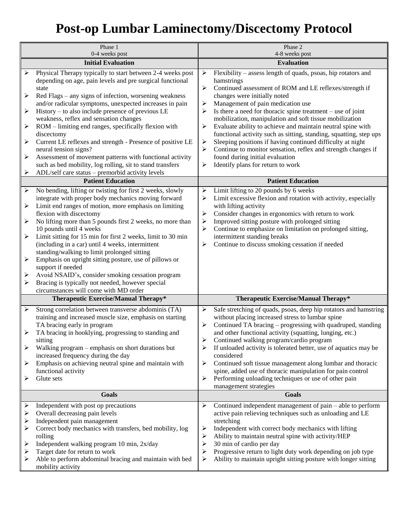## **Post-op Lumbar Laminectomy/Discectomy Protocol**

| Phase 1<br>0-4 weeks post                           |                                                                                                                                                                                                                                                                                                                                                                                                                                                                                                                                                                                                                                                                                                 | Phase 2<br>4-8 weeks post                                                                                                                                                                                                                                                                                                                                                                                                                                                                                                                                                                                                                                                                                                   |  |
|-----------------------------------------------------|-------------------------------------------------------------------------------------------------------------------------------------------------------------------------------------------------------------------------------------------------------------------------------------------------------------------------------------------------------------------------------------------------------------------------------------------------------------------------------------------------------------------------------------------------------------------------------------------------------------------------------------------------------------------------------------------------|-----------------------------------------------------------------------------------------------------------------------------------------------------------------------------------------------------------------------------------------------------------------------------------------------------------------------------------------------------------------------------------------------------------------------------------------------------------------------------------------------------------------------------------------------------------------------------------------------------------------------------------------------------------------------------------------------------------------------------|--|
| <b>Initial Evaluation</b>                           |                                                                                                                                                                                                                                                                                                                                                                                                                                                                                                                                                                                                                                                                                                 | <b>Evaluation</b>                                                                                                                                                                                                                                                                                                                                                                                                                                                                                                                                                                                                                                                                                                           |  |
| ➤<br>➤<br>$\blacktriangleright$<br>➤<br>➤<br>➤<br>➤ | Physical Therapy typically to start between 2-4 weeks post<br>depending on age, pain levels and pre surgical functional<br>state<br>Red Flags - any signs of infection, worsening weakness<br>and/or radicular symptoms, unexpected increases in pain<br>History – to also include presence of previous LE<br>weakness, reflex and sensation changes<br>ROM - limiting end ranges, specifically flexion with<br>discectomy<br>Current LE reflexes and strength - Presence of positive LE<br>neural tension signs?<br>Assessment of movement patterns with functional activity<br>such as bed mobility, log rolling, sit to stand transfers<br>ADL/self care status - premorbid activity levels  | Flexibility - assess length of quads, psoas, hip rotators and<br>➤<br>hamstrings<br>➤<br>Continued assessment of ROM and LE reflexes/strength if<br>changes were initially noted<br>Management of pain medication use<br>➤<br>➤<br>Is there a need for thoracic spine treatment $-$ use of joint<br>mobilization, manipulation and soft tissue mobilization<br>Evaluate ability to achieve and maintain neutral spine with<br>➤<br>functional activity such as sitting, standing, squatting, step ups<br>Sleeping positions if having continued difficulty at night<br>➤<br>Continue to monitor sensation, reflex and strength changes if<br>➤<br>found during initial evaluation<br>Identify plans for return to work<br>➤ |  |
|                                                     | <b>Patient Education</b>                                                                                                                                                                                                                                                                                                                                                                                                                                                                                                                                                                                                                                                                        | <b>Patient Education</b>                                                                                                                                                                                                                                                                                                                                                                                                                                                                                                                                                                                                                                                                                                    |  |
| $\blacktriangleright$<br>➤<br>➤<br>➤<br>➤<br>➤<br>≻ | No bending, lifting or twisting for first 2 weeks, slowly<br>integrate with proper body mechanics moving forward<br>Limit end ranges of motion, more emphasis on limiting<br>flexion with discectomy<br>No lifting more than 5 pounds first 2 weeks, no more than<br>10 pounds until 4 weeks<br>Limit sitting for 15 min for first 2 weeks, limit to 30 min<br>(including in a car) until 4 weeks, intermittent<br>standing/walking to limit prolonged sitting<br>Emphasis on upright sitting posture, use of pillows or<br>support if needed<br>Avoid NSAID's, consider smoking cessation program<br>Bracing is typically not needed, however special<br>circumstances will come with MD order | Limit lifting to 20 pounds by 6 weeks<br>➤<br>➤<br>Limit excessive flexion and rotation with activity, especially<br>with lifting activity<br>Consider changes in ergonomics with return to work<br>➤<br>Improved sitting posture with prolonged sitting<br>➤<br>Continue to emphasize on limitation on prolonged sitting,<br>➤<br>intermittent standing breaks<br>Continue to discuss smoking cessation if needed<br>➤                                                                                                                                                                                                                                                                                                     |  |
|                                                     | Therapeutic Exercise/Manual Therapy*                                                                                                                                                                                                                                                                                                                                                                                                                                                                                                                                                                                                                                                            | Therapeutic Exercise/Manual Therapy*                                                                                                                                                                                                                                                                                                                                                                                                                                                                                                                                                                                                                                                                                        |  |
| $\blacktriangleright$<br>➤<br>≻<br>➤<br>➤           | Strong correlation between transverse abdominis (TA)<br>training and increased muscle size, emphasis on starting<br>TA bracing early in program<br>TA bracing in hooklying, progressing to standing and<br>sitting<br>Walking program – emphasis on short durations but<br>increased frequency during the day<br>Emphasis on achieving neutral spine and maintain with<br>functional activity<br>Glute sets                                                                                                                                                                                                                                                                                     | Safe stretching of quads, psoas, deep hip rotators and hamstring<br>➤<br>without placing increased stress to lumbar spine<br>Continued TA bracing – progressing with quadruped, standing<br>➤<br>and other functional activity (squatting, lunging, etc.)<br>Continued walking program/cardio program<br>If unloaded activity is tolerated better, use of aquatics may be<br>⋗<br>considered<br>➤<br>Continued soft tissue management along lumbar and thoracic<br>spine, added use of thoracic manipulation for pain control<br>Performing unloading techniques or use of other pain<br>↘<br>management strategies                                                                                                         |  |
| <b>Goals</b>                                        |                                                                                                                                                                                                                                                                                                                                                                                                                                                                                                                                                                                                                                                                                                 | <b>Goals</b>                                                                                                                                                                                                                                                                                                                                                                                                                                                                                                                                                                                                                                                                                                                |  |
| ➤<br>➤<br>➤<br>⋗<br>➤<br>≻<br>➤                     | Independent with post op precautions<br>Overall decreasing pain levels<br>Independent pain management<br>Correct body mechanics with transfers, bed mobility, log<br>rolling<br>Independent walking program 10 min, 2x/day<br>Target date for return to work<br>Able to perform abdominal bracing and maintain with bed<br>mobility activity                                                                                                                                                                                                                                                                                                                                                    | Continued independent management of $pain - able to perform$<br>➤<br>active pain relieving techniques such as unloading and LE<br>stretching<br>Independent with correct body mechanics with lifting<br>➤<br>Ability to maintain neutral spine with activity/HEP<br>➤<br>$\blacktriangleright$<br>30 min of cardio per day<br>Progressive return to light duty work depending on job type<br>➤<br>Ability to maintain upright sitting posture with longer sitting<br>➤                                                                                                                                                                                                                                                      |  |